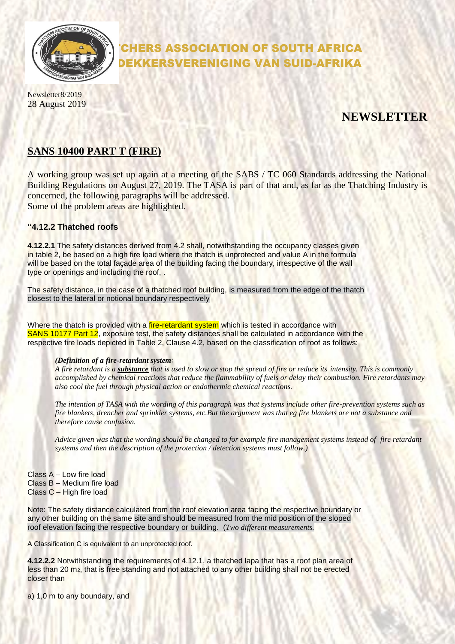

# CHERS ASSOCIATION OF SOUTH AFRICA DEKKERSVERENIGING VAN SUID-AFRIKA

Newsletter8/2019 28 August 2019

## **NEWSLETTER**

## **SANS 10400 PART T (FIRE)**

A working group was set up again at a meeting of the SABS / TC 060 Standards addressing the National Building Regulations on August 27, 2019. The TASA is part of that and, as far as the Thatching Industry is concerned, the following paragraphs will be addressed. Some of the problem areas are highlighted.

#### **"4.12.2 Thatched roofs**

**4.12.2.1** The safety distances derived from 4.2 shall, notwithstanding the occupancy classes given in table 2, be based on a high fire load where the thatch is unprotected and value A in the formula will be based on the total façade area of the building facing the boundary, irrespective of the wall type or openings and including the roof, .

The safety distance, in the case of a thatched roof building, is measured from the edge of the thatch closest to the lateral or notional boundary respectively

Where the thatch is provided with a *fire-retardant system* which is tested in accordance with SANS 10177 Part 12, exposure test, the safety distances shall be calculated in accordance with the respective fire loads depicted in Table 2, Clause 4.2, based on the classification of roof as follows:

#### *(Definition of a fire-retardant system:*

*A fire retardant is a substance that is used to slow or stop the spread of fire or reduce its intensity. This is commonly accomplished by chemical reactions that reduce the flammability of fuels or delay their combustion. Fire retardants may also cool the fuel through physical action or endothermic chemical reactions.*

*The intention of TASA with the wording of this paragraph was that systems include other fire-prevention systems such as fire blankets, drencher and sprinkler systems, etc.But the argument was that eg fire blankets are not a substance and therefore cause confusion.*

*Advice given was that the wording should be changed to for example fire management systems instead of fire retardant systems and then the description of the protection / detection systems must follow.)*

Class A – Low fire load Class B – Medium fire load Class C – High fire load

Note: The safety distance calculated from the roof elevation area facing the respective boundary or any other building on the same site and should be measured from the mid position of the sloped roof elevation facing the respective boundary or building. (*Two different measurements.*

A Classification C is equivalent to an unprotected roof.

**4.12.2.2** Notwithstanding the requirements of 4.12.1, a thatched lapa that has a roof plan area of less than 20 m2, that is free standing and not attached to any other building shall not be erected closer than

a) 1,0 m to any boundary, and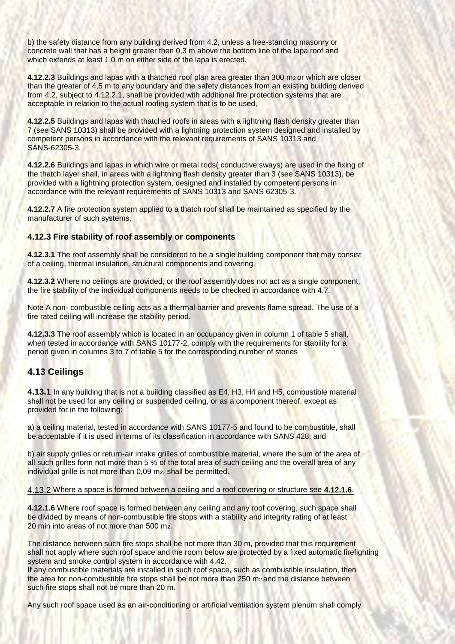b) the safety distance from any building derived from 4.2, unless a free-standing masonry or concrete wall that has a height greater then 0,3 m above the bottom line of the lapa roof and which extends at least 1,0 m on either side of the lapa is erected.

**4.12.2.3** Buildings and lapas with a thatched roof plan area greater than 300 m<sup>2</sup> or which are closer than the greater of 4,5 m to any boundary and the safety distances from an existing building derived from 4.2, subject to 4.12.2.1, shall be provided with additional fire protection systems that are acceptable in relation to the actual roofing system that is to be used,

**4.12.2.5** Buildings and lapas with thatched roofs in areas with a lightning flash density greater than 7 (see SANS 10313) shall be provided with a lightning protection system designed and installed by competent persons in accordance with the relevant requirements of SANS 10313 and SANS-62305-3.

**4.12.2.6** Buildings and lapas in which wire or metal rods( conductive sways) are used in the fixing of the thatch layer shall, in areas with a lightning flash density greater than 3 (see SANS 10313), be provided with a lightning protection system, designed and installed by competent persons in accordance with the relevant requirements of SANS 10313 and SANS 62305-3.

**4.12.2.7** A fire protection system applied to a thatch roof shall be maintained as specified by the manufacturer of such systems.

#### **4.12.3 Fire stability of roof assembly or components**

**4.12.3.1** The roof assembly shall be considered to be a single building component that may consist of a ceiling, thermal insulation, structural components and covering.

**4.12.3.2** Where no ceilings are provided, or the roof assembly does not act as a single component, the fire stability of the individual components needs to be checked in accordance with 4.7.

Note A non- combustible ceiling acts as a thermal barrier and prevents flame spread. The use of a fire rated ceiling will increase the stability period.

**4.12.3.3** The roof assembly which is located in an occupancy given in column 1 of table 5 shall, when tested in accordance with SANS 10177-2, comply with the requirements for stability for a period given in columns 3 to 7 of table 5 for the corresponding number of stories

#### **4.13 Ceilings**

**4.13.1** In any building that is not a building classified as E4, H3, H4 and H5, combustible material shall not be used for any ceiling or suspended ceiling, or as a component thereof, except as provided for in the following:

a) a ceiling material, tested in accordance with SANS 10177-5 and found to be combustible, shall be acceptable if it is used in terms of its classification in accordance with SANS 428; and

b) air supply grilles or return-air intake grilles of combustible material, where the sum of the area of all such grilles form not more than 5 % of the total area of such ceiling and the overall area of any individual grille is not more than 0,09 m<sub>2</sub>, shall be permitted.

#### 4.13.2 Where a space is formed between a ceiling and a roof covering or structure see **4.12.1.6**.

**4.12.1.6** Where roof space is formed between any ceiling and any roof covering, such space shall be divided by means of non-combustible fire stops with a stability and integrity rating of at least 20 min into areas of not more than 500 m2.

The distance between such fire stops shall be not more than 30 m, provided that this requirement shall not apply where such roof space and the room below are protected by a fixed automatic firefighting system and smoke control system in accordance with 4.42.

If any combustible materials are installed in such roof space, such as combustible insulation, then the area for non-combustible fire stops shall be not more than 250 m<sub>2</sub> and the distance between such fire stops shall not be more than 20 m.

Any such roof space used as an air-conditioning or artificial ventilation system plenum shall comply